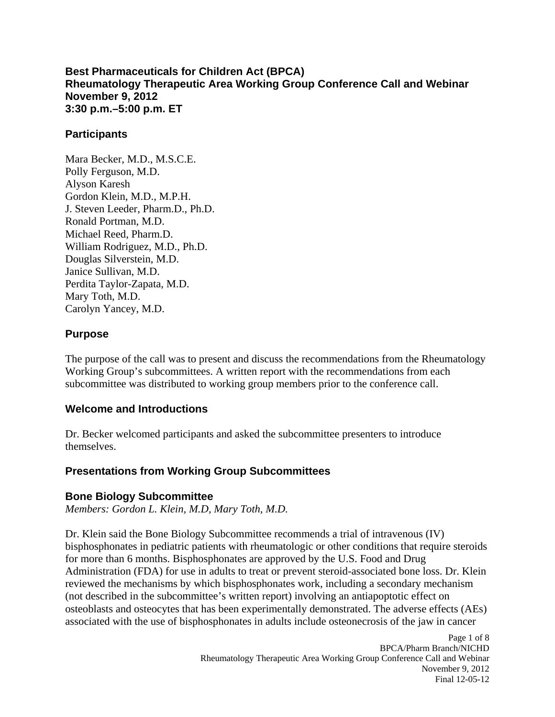**Best Pharmaceuticals for Children Act (BPCA) Rheumatology Therapeutic Area Working Group Conference Call and Webinar November 9, 2012 3:30 p.m.–5:00 p.m. ET** 

#### **Participants**

Mara Becker, M.D., M.S.C.E. Polly Ferguson, M.D. Alyson Karesh Gordon Klein, M.D., M.P.H. J. Steven Leeder, Pharm.D., Ph.D. Ronald Portman, M.D. Michael Reed, Pharm.D. William Rodriguez, M.D., Ph.D. Douglas Silverstein, M.D. Janice Sullivan, M.D. Perdita Taylor-Zapata, M.D. Mary Toth, M.D. Carolyn Yancey, M.D.

#### **Purpose**

The purpose of the call was to present and discuss the recommendations from the Rheumatology Working Group's subcommittees. A written report with the recommendations from each subcommittee was distributed to working group members prior to the conference call.

## **Welcome and Introductions**

Dr. Becker welcomed participants and asked the subcommittee presenters to introduce themselves.

## **Presentations from Working Group Subcommittees**

#### **Bone Biology Subcommittee**

*Members: Gordon L. Klein, M.D, Mary Toth, M.D.* 

Dr. Klein said the Bone Biology Subcommittee recommends a trial of intravenous (IV) bisphosphonates in pediatric patients with rheumatologic or other conditions that require steroids for more than 6 months. Bisphosphonates are approved by the U.S. Food and Drug Administration (FDA) for use in adults to treat or prevent steroid-associated bone loss. Dr. Klein reviewed the mechanisms by which bisphosphonates work, including a secondary mechanism (not described in the subcommittee's written report) involving an antiapoptotic effect on osteoblasts and osteocytes that has been experimentally demonstrated. The adverse effects (AEs) associated with the use of bisphosphonates in adults include osteonecrosis of the jaw in cancer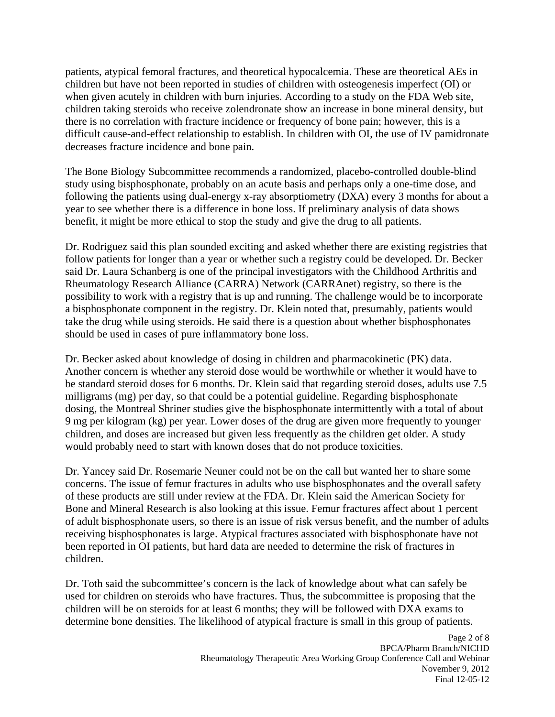patients, atypical femoral fractures, and theoretical hypocalcemia. These are theoretical AEs in children but have not been reported in studies of children with osteogenesis imperfect (OI) or when given acutely in children with burn injuries. According to a study on the FDA Web site, children taking steroids who receive zolendronate show an increase in bone mineral density, but there is no correlation with fracture incidence or frequency of bone pain; however, this is a difficult cause-and-effect relationship to establish. In children with OI, the use of IV pamidronate decreases fracture incidence and bone pain.

The Bone Biology Subcommittee recommends a randomized, placebo-controlled double-blind study using bisphosphonate, probably on an acute basis and perhaps only a one-time dose, and following the patients using dual-energy x-ray absorptiometry (DXA) every 3 months for about a year to see whether there is a difference in bone loss. If preliminary analysis of data shows benefit, it might be more ethical to stop the study and give the drug to all patients.

Dr. Rodriguez said this plan sounded exciting and asked whether there are existing registries that follow patients for longer than a year or whether such a registry could be developed. Dr. Becker said Dr. Laura Schanberg is one of the principal investigators with the Childhood Arthritis and Rheumatology Research Alliance (CARRA) Network (CARRAnet) registry, so there is the possibility to work with a registry that is up and running. The challenge would be to incorporate a bisphosphonate component in the registry. Dr. Klein noted that, presumably, patients would take the drug while using steroids. He said there is a question about whether bisphosphonates should be used in cases of pure inflammatory bone loss.

Dr. Becker asked about knowledge of dosing in children and pharmacokinetic (PK) data. Another concern is whether any steroid dose would be worthwhile or whether it would have to be standard steroid doses for 6 months. Dr. Klein said that regarding steroid doses, adults use 7.5 milligrams (mg) per day, so that could be a potential guideline. Regarding bisphosphonate dosing, the Montreal Shriner studies give the bisphosphonate intermittently with a total of about 9 mg per kilogram (kg) per year. Lower doses of the drug are given more frequently to younger children, and doses are increased but given less frequently as the children get older. A study would probably need to start with known doses that do not produce toxicities.

Dr. Yancey said Dr. Rosemarie Neuner could not be on the call but wanted her to share some concerns. The issue of femur fractures in adults who use bisphosphonates and the overall safety of these products are still under review at the FDA. Dr. Klein said the American Society for Bone and Mineral Research is also looking at this issue. Femur fractures affect about 1 percent of adult bisphosphonate users, so there is an issue of risk versus benefit, and the number of adults receiving bisphosphonates is large. Atypical fractures associated with bisphosphonate have not been reported in OI patients, but hard data are needed to determine the risk of fractures in children.

Dr. Toth said the subcommittee's concern is the lack of knowledge about what can safely be used for children on steroids who have fractures. Thus, the subcommittee is proposing that the children will be on steroids for at least 6 months; they will be followed with DXA exams to determine bone densities. The likelihood of atypical fracture is small in this group of patients.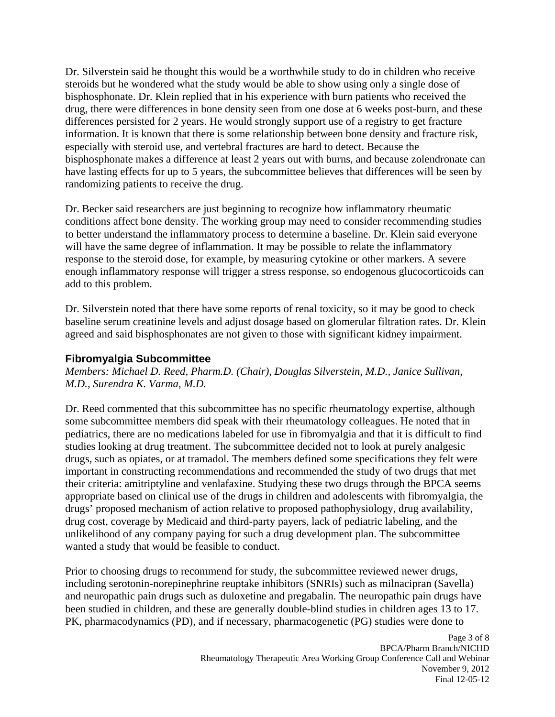Dr. Silverstein said he thought this would be a worthwhile study to do in children who receive steroids but he wondered what the study would be able to show using only a single dose of bisphosphonate. Dr. Klein replied that in his experience with burn patients who received the drug, there were differences in bone density seen from one dose at 6 weeks post-burn, and these differences persisted for 2 years. He would strongly support use of a registry to get fracture information. It is known that there is some relationship between bone density and fracture risk, especially with steroid use, and vertebral fractures are hard to detect. Because the bisphosphonate makes a difference at least 2 years out with burns, and because zolendronate can have lasting effects for up to 5 years, the subcommittee believes that differences will be seen by randomizing patients to receive the drug.

Dr. Becker said researchers are just beginning to recognize how inflammatory rheumatic conditions affect bone density. The working group may need to consider recommending studies to better understand the inflammatory process to determine a baseline. Dr. Klein said everyone will have the same degree of inflammation. It may be possible to relate the inflammatory response to the steroid dose, for example, by measuring cytokine or other markers. A severe enough inflammatory response will trigger a stress response, so endogenous glucocorticoids can add to this problem.

Dr. Silverstein noted that there have some reports of renal toxicity, so it may be good to check baseline serum creatinine levels and adjust dosage based on glomerular filtration rates. Dr. Klein agreed and said bisphosphonates are not given to those with significant kidney impairment.

#### **Fibromyalgia Subcommittee**

*Members: Michael D. Reed, Pharm.D. (Chair), Douglas Silverstein, M.D., Janice Sullivan, M.D., Surendra K. Varma, M.D.* 

Dr. Reed commented that this subcommittee has no specific rheumatology expertise, although some subcommittee members did speak with their rheumatology colleagues. He noted that in pediatrics, there are no medications labeled for use in fibromyalgia and that it is difficult to find studies looking at drug treatment. The subcommittee decided not to look at purely analgesic drugs, such as opiates, or at tramadol. The members defined some specifications they felt were important in constructing recommendations and recommended the study of two drugs that met their criteria: amitriptyline and venlafaxine. Studying these two drugs through the BPCA seems appropriate based on clinical use of the drugs in children and adolescents with fibromyalgia, the drugs' proposed mechanism of action relative to proposed pathophysiology, drug availability, drug cost, coverage by Medicaid and third-party payers, lack of pediatric labeling, and the unlikelihood of any company paying for such a drug development plan. The subcommittee wanted a study that would be feasible to conduct.

Prior to choosing drugs to recommend for study, the subcommittee reviewed newer drugs, including serotonin-norepinephrine reuptake inhibitors (SNRIs) such as milnacipran (Savella) and neuropathic pain drugs such as duloxetine and pregabalin. The neuropathic pain drugs have been studied in children, and these are generally double-blind studies in children ages 13 to 17. PK, pharmacodynamics (PD), and if necessary, pharmacogenetic (PG) studies were done to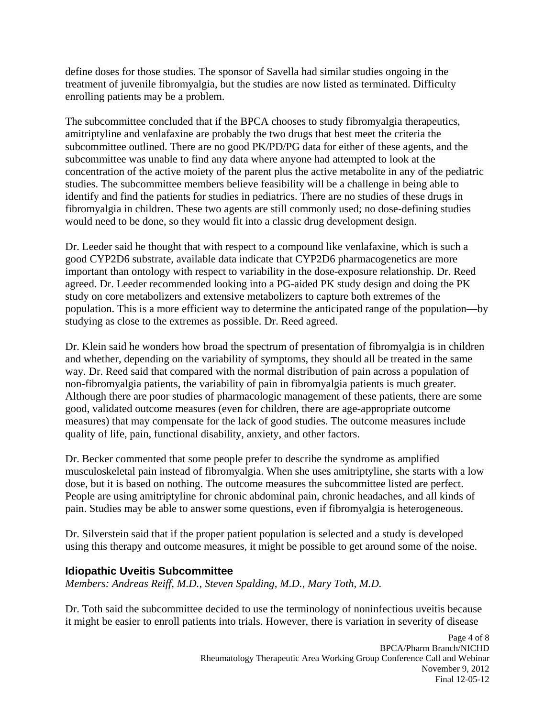define doses for those studies. The sponsor of Savella had similar studies ongoing in the treatment of juvenile fibromyalgia, but the studies are now listed as terminated. Difficulty enrolling patients may be a problem.

The subcommittee concluded that if the BPCA chooses to study fibromyalgia therapeutics, amitriptyline and venlafaxine are probably the two drugs that best meet the criteria the subcommittee outlined. There are no good PK/PD/PG data for either of these agents, and the subcommittee was unable to find any data where anyone had attempted to look at the concentration of the active moiety of the parent plus the active metabolite in any of the pediatric studies. The subcommittee members believe feasibility will be a challenge in being able to identify and find the patients for studies in pediatrics. There are no studies of these drugs in fibromyalgia in children. These two agents are still commonly used; no dose-defining studies would need to be done, so they would fit into a classic drug development design.

Dr. Leeder said he thought that with respect to a compound like venlafaxine, which is such a good CYP2D6 substrate, available data indicate that CYP2D6 pharmacogenetics are more important than ontology with respect to variability in the dose-exposure relationship. Dr. Reed agreed. Dr. Leeder recommended looking into a PG-aided PK study design and doing the PK study on core metabolizers and extensive metabolizers to capture both extremes of the population. This is a more efficient way to determine the anticipated range of the population––by studying as close to the extremes as possible. Dr. Reed agreed.

Dr. Klein said he wonders how broad the spectrum of presentation of fibromyalgia is in children and whether, depending on the variability of symptoms, they should all be treated in the same way. Dr. Reed said that compared with the normal distribution of pain across a population of non-fibromyalgia patients, the variability of pain in fibromyalgia patients is much greater. Although there are poor studies of pharmacologic management of these patients, there are some good, validated outcome measures (even for children, there are age-appropriate outcome measures) that may compensate for the lack of good studies. The outcome measures include quality of life, pain, functional disability, anxiety, and other factors.

Dr. Becker commented that some people prefer to describe the syndrome as amplified musculoskeletal pain instead of fibromyalgia. When she uses amitriptyline, she starts with a low dose, but it is based on nothing. The outcome measures the subcommittee listed are perfect. People are using amitriptyline for chronic abdominal pain, chronic headaches, and all kinds of pain. Studies may be able to answer some questions, even if fibromyalgia is heterogeneous.

Dr. Silverstein said that if the proper patient population is selected and a study is developed using this therapy and outcome measures, it might be possible to get around some of the noise.

## **Idiopathic Uveitis Subcommittee**

*Members: Andreas Reiff, M.D., Steven Spalding, M.D., Mary Toth, M.D.* 

Dr. Toth said the subcommittee decided to use the terminology of noninfectious uveitis because it might be easier to enroll patients into trials. However, there is variation in severity of disease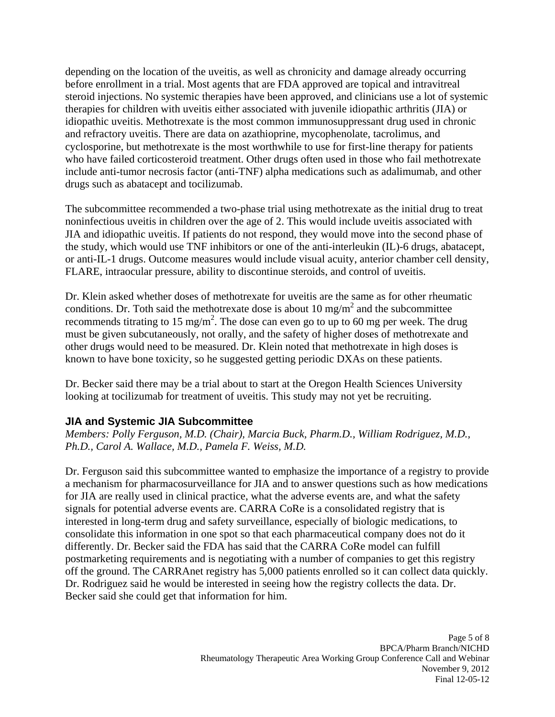depending on the location of the uveitis, as well as chronicity and damage already occurring before enrollment in a trial. Most agents that are FDA approved are topical and intravitreal steroid injections. No systemic therapies have been approved, and clinicians use a lot of systemic therapies for children with uveitis either associated with juvenile idiopathic arthritis (JIA) or idiopathic uveitis. Methotrexate is the most common immunosuppressant drug used in chronic and refractory uveitis. There are data on azathioprine, mycophenolate, tacrolimus, and cyclosporine, but methotrexate is the most worthwhile to use for first-line therapy for patients who have failed corticosteroid treatment. Other drugs often used in those who fail methotrexate include anti-tumor necrosis factor (anti-TNF) alpha medications such as adalimumab, and other drugs such as abatacept and tocilizumab.

The subcommittee recommended a two-phase trial using methotrexate as the initial drug to treat noninfectious uveitis in children over the age of 2. This would include uveitis associated with JIA and idiopathic uveitis. If patients do not respond, they would move into the second phase of the study, which would use TNF inhibitors or one of the anti-interleukin (IL)-6 drugs, abatacept, or anti-IL-1 drugs. Outcome measures would include visual acuity, anterior chamber cell density, FLARE, intraocular pressure, ability to discontinue steroids, and control of uveitis.

Dr. Klein asked whether doses of methotrexate for uveitis are the same as for other rheumatic conditions. Dr. Toth said the methotrexate dose is about 10 mg/m<sup>2</sup> and the subcommittee recommends titrating to 15 mg/m<sup>2</sup>. The dose can even go to up to 60 mg per week. The drug must be given subcutaneously, not orally, and the safety of higher doses of methotrexate and other drugs would need to be measured. Dr. Klein noted that methotrexate in high doses is known to have bone toxicity, so he suggested getting periodic DXAs on these patients.

Dr. Becker said there may be a trial about to start at the Oregon Health Sciences University looking at tocilizumab for treatment of uveitis. This study may not yet be recruiting.

# **JIA and Systemic JIA Subcommittee**

*Members: Polly Ferguson, M.D. (Chair), Marcia Buck, Pharm.D., William Rodriguez, M.D., Ph.D., Carol A. Wallace, M.D., Pamela F. Weiss, M.D.* 

Dr. Ferguson said this subcommittee wanted to emphasize the importance of a registry to provide a mechanism for pharmacosurveillance for JIA and to answer questions such as how medications for JIA are really used in clinical practice, what the adverse events are, and what the safety signals for potential adverse events are. CARRA CoRe is a consolidated registry that is interested in long-term drug and safety surveillance, especially of biologic medications, to consolidate this information in one spot so that each pharmaceutical company does not do it differently. Dr. Becker said the FDA has said that the CARRA CoRe model can fulfill postmarketing requirements and is negotiating with a number of companies to get this registry off the ground. The CARRAnet registry has 5,000 patients enrolled so it can collect data quickly. Dr. Rodriguez said he would be interested in seeing how the registry collects the data. Dr. Becker said she could get that information for him.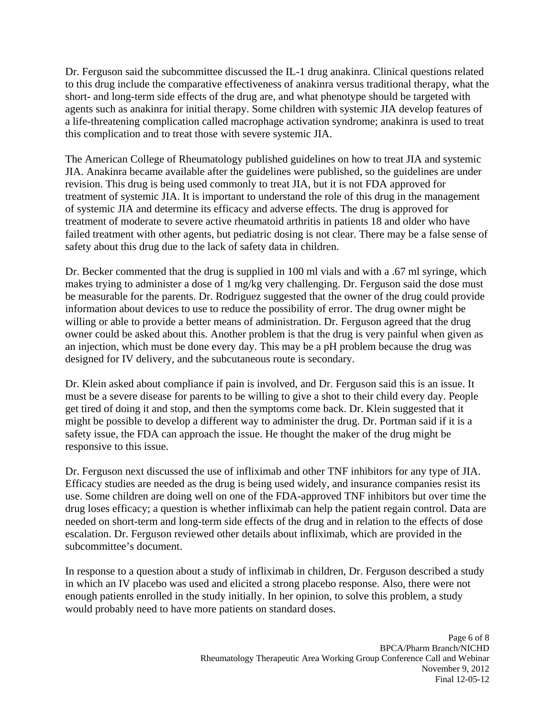Dr. Ferguson said the subcommittee discussed the IL-1 drug anakinra. Clinical questions related to this drug include the comparative effectiveness of anakinra versus traditional therapy, what the short- and long-term side effects of the drug are, and what phenotype should be targeted with agents such as anakinra for initial therapy. Some children with systemic JIA develop features of a life-threatening complication called macrophage activation syndrome; anakinra is used to treat this complication and to treat those with severe systemic JIA.

The American College of Rheumatology published guidelines on how to treat JIA and systemic JIA. Anakinra became available after the guidelines were published, so the guidelines are under revision. This drug is being used commonly to treat JIA, but it is not FDA approved for treatment of systemic JIA. It is important to understand the role of this drug in the management of systemic JIA and determine its efficacy and adverse effects. The drug is approved for treatment of moderate to severe active rheumatoid arthritis in patients 18 and older who have failed treatment with other agents, but pediatric dosing is not clear. There may be a false sense of safety about this drug due to the lack of safety data in children.

Dr. Becker commented that the drug is supplied in 100 ml vials and with a .67 ml syringe, which makes trying to administer a dose of 1 mg/kg very challenging. Dr. Ferguson said the dose must be measurable for the parents. Dr. Rodriguez suggested that the owner of the drug could provide information about devices to use to reduce the possibility of error. The drug owner might be willing or able to provide a better means of administration. Dr. Ferguson agreed that the drug owner could be asked about this. Another problem is that the drug is very painful when given as an injection, which must be done every day. This may be a pH problem because the drug was designed for IV delivery, and the subcutaneous route is secondary.

Dr. Klein asked about compliance if pain is involved, and Dr. Ferguson said this is an issue. It must be a severe disease for parents to be willing to give a shot to their child every day. People get tired of doing it and stop, and then the symptoms come back. Dr. Klein suggested that it might be possible to develop a different way to administer the drug. Dr. Portman said if it is a safety issue, the FDA can approach the issue. He thought the maker of the drug might be responsive to this issue.

Dr. Ferguson next discussed the use of infliximab and other TNF inhibitors for any type of JIA. Efficacy studies are needed as the drug is being used widely, and insurance companies resist its use. Some children are doing well on one of the FDA-approved TNF inhibitors but over time the drug loses efficacy; a question is whether infliximab can help the patient regain control. Data are needed on short-term and long-term side effects of the drug and in relation to the effects of dose escalation. Dr. Ferguson reviewed other details about infliximab, which are provided in the subcommittee's document.

In response to a question about a study of infliximab in children, Dr. Ferguson described a study in which an IV placebo was used and elicited a strong placebo response. Also, there were not enough patients enrolled in the study initially. In her opinion, to solve this problem, a study would probably need to have more patients on standard doses.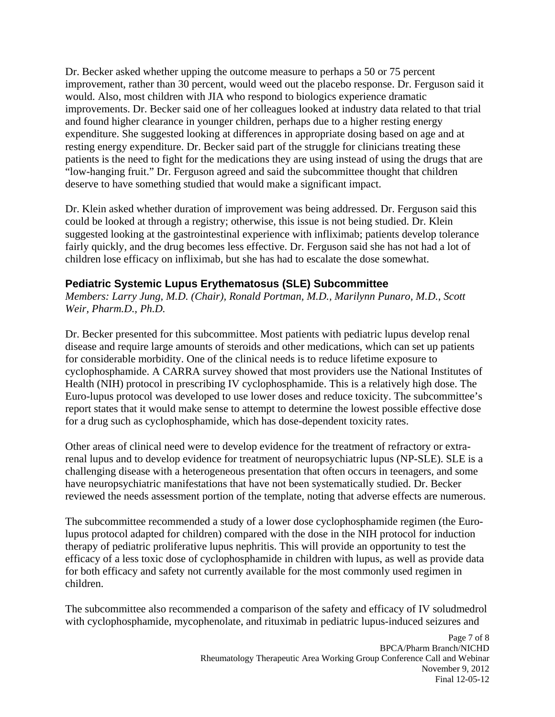Dr. Becker asked whether upping the outcome measure to perhaps a 50 or 75 percent improvement, rather than 30 percent, would weed out the placebo response. Dr. Ferguson said it would. Also, most children with JIA who respond to biologics experience dramatic improvements. Dr. Becker said one of her colleagues looked at industry data related to that trial and found higher clearance in younger children, perhaps due to a higher resting energy expenditure. She suggested looking at differences in appropriate dosing based on age and at resting energy expenditure. Dr. Becker said part of the struggle for clinicians treating these patients is the need to fight for the medications they are using instead of using the drugs that are "low-hanging fruit." Dr. Ferguson agreed and said the subcommittee thought that children deserve to have something studied that would make a significant impact.

Dr. Klein asked whether duration of improvement was being addressed. Dr. Ferguson said this could be looked at through a registry; otherwise, this issue is not being studied. Dr. Klein suggested looking at the gastrointestinal experience with infliximab; patients develop tolerance fairly quickly, and the drug becomes less effective. Dr. Ferguson said she has not had a lot of children lose efficacy on infliximab, but she has had to escalate the dose somewhat.

## **Pediatric Systemic Lupus Erythematosus (SLE) Subcommittee**

*Members: Larry Jung, M.D. (Chair), Ronald Portman, M.D., Marilynn Punaro, M.D., Scott Weir, Pharm.D., Ph.D.* 

Dr. Becker presented for this subcommittee. Most patients with pediatric lupus develop renal disease and require large amounts of steroids and other medications, which can set up patients for considerable morbidity. One of the clinical needs is to reduce lifetime exposure to cyclophosphamide. A CARRA survey showed that most providers use the National Institutes of Health (NIH) protocol in prescribing IV cyclophosphamide. This is a relatively high dose. The Euro-lupus protocol was developed to use lower doses and reduce toxicity. The subcommittee's report states that it would make sense to attempt to determine the lowest possible effective dose for a drug such as cyclophosphamide, which has dose-dependent toxicity rates.

Other areas of clinical need were to develop evidence for the treatment of refractory or extrarenal lupus and to develop evidence for treatment of neuropsychiatric lupus (NP-SLE). SLE is a challenging disease with a heterogeneous presentation that often occurs in teenagers, and some have neuropsychiatric manifestations that have not been systematically studied. Dr. Becker reviewed the needs assessment portion of the template, noting that adverse effects are numerous.

The subcommittee recommended a study of a lower dose cyclophosphamide regimen (the Eurolupus protocol adapted for children) compared with the dose in the NIH protocol for induction therapy of pediatric proliferative lupus nephritis. This will provide an opportunity to test the efficacy of a less toxic dose of cyclophosphamide in children with lupus, as well as provide data for both efficacy and safety not currently available for the most commonly used regimen in children.

The subcommittee also recommended a comparison of the safety and efficacy of IV soludmedrol with cyclophosphamide, mycophenolate, and rituximab in pediatric lupus-induced seizures and